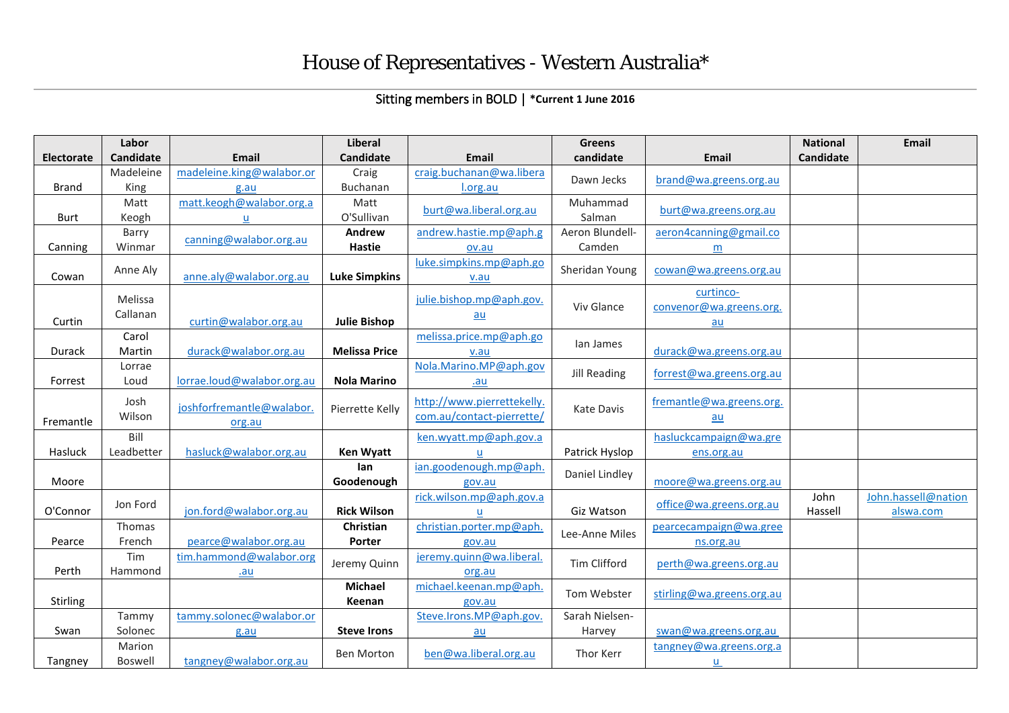## Sitting members in BOLD | **\*Current 1 June 2016**

|                   | Labor            |                            | <b>Liberal</b>       |                                 | <b>Greens</b>     |                           | <b>National</b> | <b>Email</b>        |
|-------------------|------------------|----------------------------|----------------------|---------------------------------|-------------------|---------------------------|-----------------|---------------------|
| <b>Electorate</b> | <b>Candidate</b> | <b>Email</b>               | <b>Candidate</b>     | <b>Email</b>                    | candidate         | Email                     | Candidate       |                     |
|                   | Madeleine        | madeleine.king@walabor.or  | Craig                | craig.buchanan@wa.libera        | Dawn Jecks        | brand@wa.greens.org.au    |                 |                     |
| Brand             | King             | g.au                       | Buchanan             | l.org.au                        |                   |                           |                 |                     |
|                   | Matt             | matt.keogh@walabor.org.a   | Matt                 | burt@wa.liberal.org.au          | Muhammad          | burt@wa.greens.org.au     |                 |                     |
| <b>Burt</b>       | Keogh            | u                          | O'Sullivan           |                                 | Salman            |                           |                 |                     |
|                   | Barry            | canning@walabor.org.au     | Andrew               | andrew.hastie.mp@aph.g          | Aeron Blundell-   | aeron4canning@gmail.co    |                 |                     |
| Canning           | Winmar           |                            | <b>Hastie</b>        | ov.au                           | Camden            | m                         |                 |                     |
| Cowan             | Anne Aly         | anne.aly@walabor.org.au    | <b>Luke Simpkins</b> | luke.simpkins.mp@aph.go<br>v.au | Sheridan Young    | cowan@wa.greens.org.au    |                 |                     |
|                   |                  |                            |                      |                                 |                   | curtinco-                 |                 |                     |
|                   | Melissa          |                            |                      | julie.bishop.mp@aph.gov.        | Viv Glance        | convenor@wa.greens.org.   |                 |                     |
| Curtin            | Callanan         | curtin@walabor.org.au      | <b>Julie Bishop</b>  | au                              |                   | $au$                      |                 |                     |
|                   | Carol            |                            |                      | melissa.price.mp@aph.go         |                   |                           |                 |                     |
| Durack            | Martin           | durack@walabor.org.au      | <b>Melissa Price</b> | v.au                            | lan James         | durack@wa.greens.org.au   |                 |                     |
|                   | Lorrae           |                            |                      | Nola.Marino.MP@aph.gov          | Jill Reading      | forrest@wa.greens.org.au  |                 |                     |
| Forrest           | Loud             | lorrae.loud@walabor.org.au | <b>Nola Marino</b>   | .au                             |                   |                           |                 |                     |
|                   | Josh             |                            |                      | http://www.pierrettekelly.      |                   | fremantle@wa.greens.org.  |                 |                     |
| Fremantle         | Wilson           | joshforfremantle@walabor.  | Pierrette Kelly      | com.au/contact-pierrette/       | <b>Kate Davis</b> | au                        |                 |                     |
|                   | Bill             | org.au                     |                      | ken.wyatt.mp@aph.gov.a          |                   | hasluckcampaign@wa.gre    |                 |                     |
| Hasluck           | Leadbetter       | hasluck@walabor.org.au     | <b>Ken Wyatt</b>     | u                               | Patrick Hyslop    | ens.org.au                |                 |                     |
|                   |                  |                            | lan                  | ian.goodenough.mp@aph.          |                   |                           |                 |                     |
| Moore             |                  |                            | Goodenough           | gov.au                          | Daniel Lindley    | moore@wa.greens.org.au    |                 |                     |
|                   |                  |                            |                      | rick.wilson.mp@aph.gov.a        |                   |                           | John            | John.hassell@nation |
| O'Connor          | Jon Ford         | jon.ford@walabor.org.au    | <b>Rick Wilson</b>   |                                 | Giz Watson        | office@wa.greens.org.au   | Hassell         | alswa.com           |
|                   | Thomas           |                            | <b>Christian</b>     | christian.porter.mp@aph.        | Lee-Anne Miles    | pearcecampaign@wa.gree    |                 |                     |
| Pearce            | French           | pearce@walabor.org.au      | Porter               | gov.au                          |                   | ns.org.au                 |                 |                     |
|                   | Tim              | tim.hammond@walabor.org    | Jeremy Quinn         | jeremy.quinn@wa.liberal.        | Tim Clifford      | perth@wa.greens.org.au    |                 |                     |
| Perth             | Hammond          | .au                        |                      | org.au                          |                   |                           |                 |                     |
|                   |                  |                            | <b>Michael</b>       | michael.keenan.mp@aph.          | Tom Webster       | stirling@wa.greens.org.au |                 |                     |
| Stirling          |                  |                            | Keenan               | gov.au                          |                   |                           |                 |                     |
|                   | Tammy            | tammy.solonec@walabor.or   |                      | Steve.Irons.MP@aph.gov.         | Sarah Nielsen-    |                           |                 |                     |
| Swan              | Solonec          | g.au                       | <b>Steve Irons</b>   | au                              | Harvey            | swan@wa.greens.org.au     |                 |                     |
|                   | Marion           |                            | <b>Ben Morton</b>    | ben@wa.liberal.org.au           | Thor Kerr         | tangney@wa.greens.org.a   |                 |                     |
| Tangney           | <b>Boswell</b>   | tangney@walabor.org.au     |                      |                                 |                   | $u$                       |                 |                     |